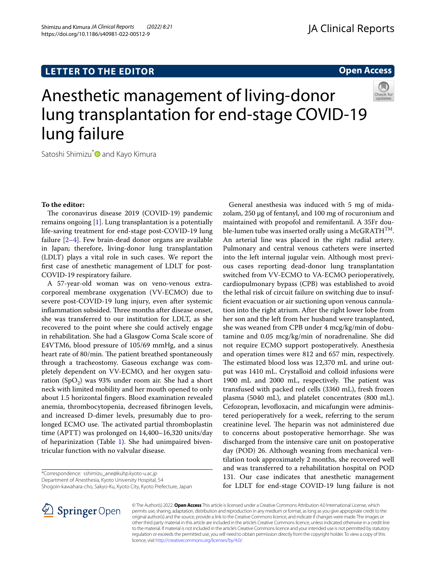# **LETTER TO THE EDITOR**



# Anesthetic management of living-donor lung transplantation for end-stage COVID-19 lung failure



Satoshi Shimizu<sup>[\\*](http://orcid.org/0000-0002-7270-0781)</sup> and Kayo Kimura

# **To the editor:**

The coronavirus disease 2019 (COVID-19) pandemic remains ongoing  $[1]$  $[1]$ . Lung transplantation is a potentially life-saving treatment for end-stage post-COVID-19 lung failure [\[2](#page-1-1)–[4\]](#page-1-2). Few brain-dead donor organs are available in Japan; therefore, living-donor lung transplantation (LDLT) plays a vital role in such cases. We report the frst case of anesthetic management of LDLT for post-COVID-19 respiratory failure.

A 57-year-old woman was on veno-venous extracorporeal membrane oxygenation (VV-ECMO) due to severe post-COVID-19 lung injury, even after systemic inflammation subsided. Three months after disease onset, she was transferred to our institution for LDLT, as she recovered to the point where she could actively engage in rehabilitation. She had a Glasgow Coma Scale score of E4VTM6, blood pressure of 105/69 mmHg, and a sinus heart rate of 80/min. The patient breathed spontaneously through a tracheostomy. Gaseous exchange was completely dependent on VV-ECMO, and her oxygen saturation (SpO<sub>2</sub>) was 93% under room air. She had a short neck with limited mobility and her mouth opened to only about 1.5 horizontal fngers. Blood examination revealed anemia, thrombocytopenia, decreased fbrinogen levels, and increased D-dimer levels, presumably due to prolonged ECMO use. The activated partial thromboplastin time (APTT) was prolonged on 14,400–16,320 units/day of heparinization (Table [1](#page-1-3)). She had unimpaired biventricular function with no valvular disease.

Shogoin-kawahara-cho, Sakyo-Ku, Kyoto City, Kyoto Prefecture, Japan



General anesthesia was induced with 5 mg of midazolam, 250 μg of fentanyl, and 100 mg of rocuronium and maintained with propofol and remifentanil. A 35Fr double-lumen tube was inserted orally using a McGRATH $^{TM}$ . An arterial line was placed in the right radial artery. Pulmonary and central venous catheters were inserted into the left internal jugular vein. Although most previous cases reporting dead-donor lung transplantation switched from VV-ECMO to VA-ECMO perioperatively, cardiopulmonary bypass (CPB) was established to avoid the lethal risk of circuit failure on switching due to insuffcient evacuation or air suctioning upon venous cannulation into the right atrium. After the right lower lobe from her son and the left from her husband were transplanted, she was weaned from CPB under 4 mcg/kg/min of dobutamine and 0.05 mcg/kg/min of noradrenaline. She did not require ECMO support postoperatively. Anesthesia and operation times were 812 and 657 min, respectively. The estimated blood loss was 12,370 mL and urine output was 1410 mL. Crystalloid and colloid infusions were 1900 mL and 2000 mL, respectively. The patient was transfused with packed red cells (3360 mL), fresh frozen plasma (5040 mL), and platelet concentrates (800 mL). Cefozopran, levofloxacin, and micafungin were administered perioperatively for a week, referring to the serum creatinine level. The heparin was not administered due to concerns about postoperative hemorrhage. She was discharged from the intensive care unit on postoperative day (POD) 26. Although weaning from mechanical ventilation took approximately 2 months, she recovered well and was transferred to a rehabilitation hospital on POD 131. Our case indicates that anesthetic management for LDLT for end-stage COVID-19 lung failure is not

© The Author(s) 2022. **Open Access** This article is licensed under a Creative Commons Attribution 4.0 International License, which permits use, sharing, adaptation, distribution and reproduction in any medium or format, as long as you give appropriate credit to the original author(s) and the source, provide a link to the Creative Commons licence, and indicate if changes were made. The images or other third party material in this article are included in the article's Creative Commons licence, unless indicated otherwise in a credit line to the material. If material is not included in the article's Creative Commons licence and your intended use is not permitted by statutory regulation or exceeds the permitted use, you will need to obtain permission directly from the copyright holder. To view a copy of this licence, visit [http://creativecommons.org/licenses/by/4.0/.](http://creativecommons.org/licenses/by/4.0/)

<sup>\*</sup>Correspondence: sshimizu\_ane@kuhp.kyoto-u.ac.jp

Department of Anesthesia, Kyoto University Hospital, 54